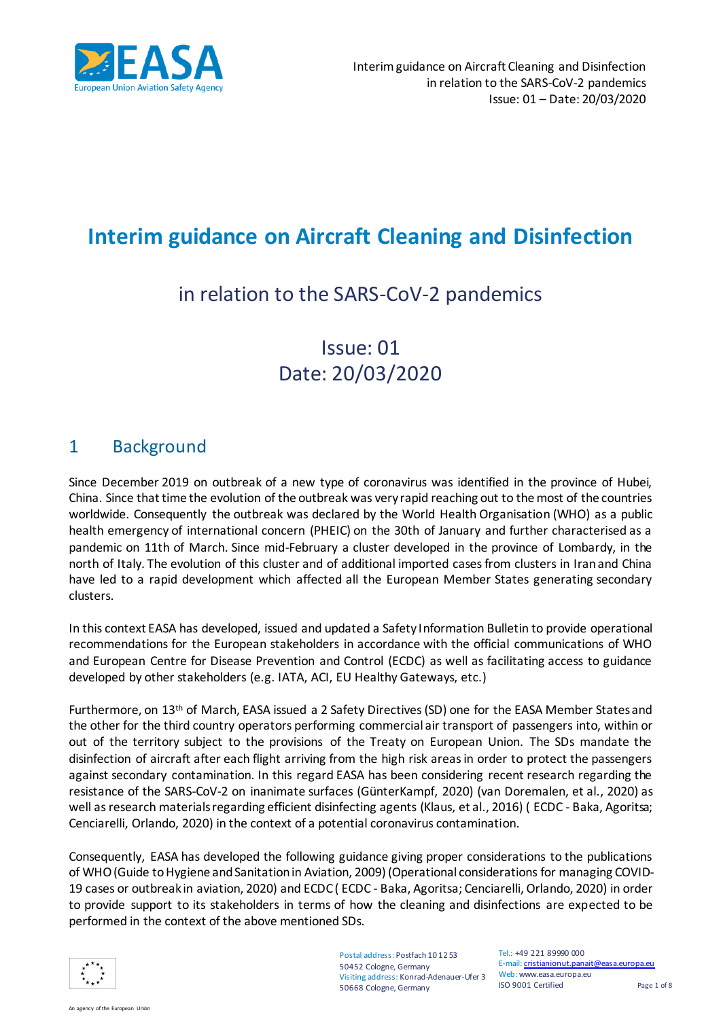

# **Interim guidance on Aircraft Cleaning and Disinfection**

## in relation to the SARS-CoV-2 pandemics

## Issue: 01 Date: 20/03/2020

### 1 Background

Since December 2019 on outbreak of a new type of coronavirus was identified in the province of Hubei, China. Since that time the evolution of the outbreak was very rapid reaching out to the most of the countries worldwide. Consequently the outbreak was declared by the World Health Organisation (WHO) as a public health emergency of international concern (PHEIC) on the 30th of January and further characterised as a pandemic on 11th of March. Since mid-February a cluster developed in the province of Lombardy, in the north of Italy. The evolution of this cluster and of additional imported cases from clusters in Iran and China have led to a rapid development which affected all the European Member States generating secondary clusters.

In this context EASA has developed, issued and updated a Safety Information Bulletin to provide operational recommendations for the European stakeholders in accordance with the official communications of WHO and European Centre for Disease Prevention and Control (ECDC) as well as facilitating access to guidance developed by other stakeholders (e.g. IATA, ACI, EU Healthy Gateways, etc.)

Furthermore, on 13th of March, EASA issued a 2 Safety Directives (SD) one for the EASA Member States and the other for the third country operators performing commercial air transport of passengers into, within or out of the territory subject to the provisions of the Treaty on European Union. The SDs mandate the disinfection of aircraft after each flight arriving from the high risk areas in order to protect the passengers against secondary contamination. In this regard EASA has been considering recent research regarding the resistance of the SARS-CoV-2 on inanimate surfaces (GünterKampf, 2020) (van Doremalen, et al., 2020) as well as research materials regarding efficient disinfecting agents (Klaus, et al., 2016) ( ECDC - Baka, Agoritsa; Cenciarelli, Orlando, 2020) in the context of a potential coronavirus contamination.

Consequently, EASA has developed the following guidance giving proper considerations to the publications of WHO (Guide to Hygiene and Sanitation in Aviation, 2009) (Operational considerations for managing COVID-19 cases or outbreak in aviation, 2020) and ECDC ( ECDC - Baka, Agoritsa; Cenciarelli, Orlando, 2020) in order to provide support to its stakeholders in terms of how the cleaning and disinfections are expected to be performed in the context of the above mentioned SDs.



Web: www.easa.europa.eu Visiting address: Konrad-Adenauer-Ufer 3 Postal address: Postfach 10 12 53 50452 Cologne, Germany 50668 Cologne, Germany

Tel.: +49 221 89990 000 E-mail: cristianionut.panait@easa.europa.eu ISO 9001 Certified Page 1 of 8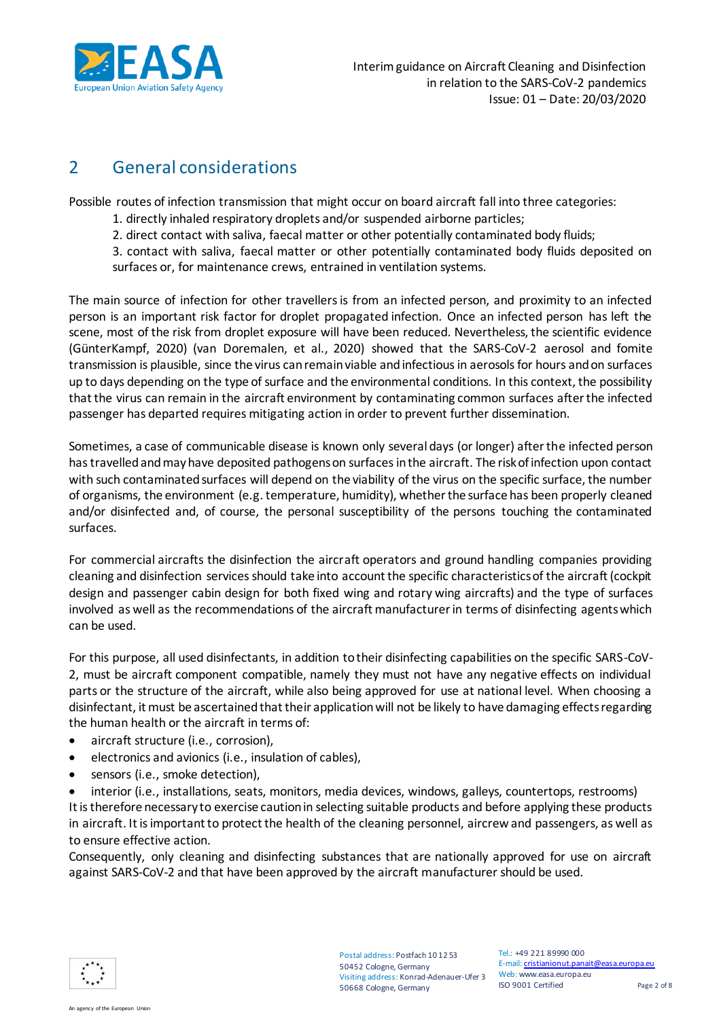

### 2 General considerations

Possible routes of infection transmission that might occur on board aircraft fall into three categories:

- 1. directly inhaled respiratory droplets and/or suspended airborne particles;
- 2. direct contact with saliva, faecal matter or other potentially contaminated body fluids;
- 3. contact with saliva, faecal matter or other potentially contaminated body fluids deposited on surfaces or, for maintenance crews, entrained in ventilation systems.

The main source of infection for other travellers is from an infected person, and proximity to an infected person is an important risk factor for droplet propagated infection. Once an infected person has left the scene, most of the risk from droplet exposure will have been reduced. Nevertheless, the scientific evidence (GünterKampf, 2020) (van Doremalen, et al., 2020) showed that the SARS-CoV-2 aerosol and fomite transmission is plausible, since the virus can remain viable and infectious in aerosols for hours and on surfaces up to days depending on the type of surface and the environmental conditions. In this context, the possibility that the virus can remain in the aircraft environment by contaminating common surfaces after the infected passenger has departed requires mitigating action in order to prevent further dissemination.

Sometimes, a case of communicable disease is known only several days (or longer) after the infected person has travelled and may have deposited pathogens on surfaces in the aircraft. The risk of infection upon contact with such contaminated surfaces will depend on the viability of the virus on the specific surface, the number of organisms, the environment (e.g. temperature, humidity), whether the surface has been properly cleaned and/or disinfected and, of course, the personal susceptibility of the persons touching the contaminated surfaces.

For commercial aircrafts the disinfection the aircraft operators and ground handling companies providing cleaning and disinfection services should take into account the specific characteristics of the aircraft (cockpit design and passenger cabin design for both fixed wing and rotary wing aircrafts) and the type of surfaces involved as well as the recommendations of the aircraft manufacturer in terms of disinfecting agents which can be used.

For this purpose, all used disinfectants, in addition to their disinfecting capabilities on the specific SARS-CoV-2, must be aircraft component compatible, namely they must not have any negative effects on individual parts or the structure of the aircraft, while also being approved for use at national level. When choosing a disinfectant, it must be ascertained that their application will not be likely to have damaging effects regarding the human health or the aircraft in terms of:

- aircraft structure (i.e., corrosion),
- electronics and avionics (i.e., insulation of cables),
- sensors (i.e., smoke detection),

 interior (i.e., installations, seats, monitors, media devices, windows, galleys, countertops, restrooms) It is therefore necessary to exercise caution in selecting suitable products and before applying these products in aircraft. It is important to protect the health of the cleaning personnel, aircrew and passengers, as well as to ensure effective action.

Consequently, only cleaning and disinfecting substances that are nationally approved for use on aircraft against SARS-CoV-2 and that have been approved by the aircraft manufacturer should be used.

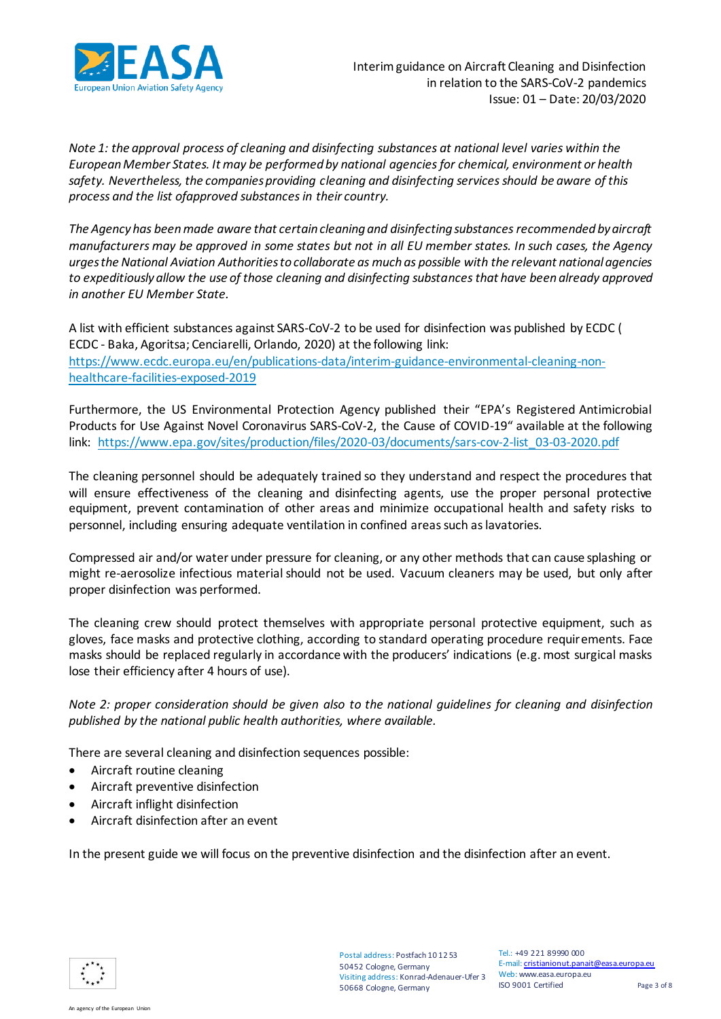

*Note 1: the approval process of cleaning and disinfecting substances at national level varies within the European Member States. It may be performed by national agencies for chemical, environment or health safety. Nevertheless, the companies providing cleaning and disinfecting services should be aware of this process and the list ofapproved substances in their country.*

*The Agency has been made aware that certain cleaning and disinfecting substances recommended by aircraft manufacturers may be approved in some states but not in all EU member states. In such cases, the Agency urges the National Aviation Authorities to collaborate as much as possible with the relevant national agencies to expeditiously allow the use of those cleaning and disinfecting substances that have been already approved in another EU Member State.*

A list with efficient substances against SARS-CoV-2 to be used for disinfection was published by ECDC ( ECDC - Baka, Agoritsa; Cenciarelli, Orlando, 2020) at the following link: [https://www.ecdc.europa.eu/en/publications-data/interim-guidance-environmental-cleaning-non](https://www.ecdc.europa.eu/en/publications-data/interim-guidance-environmental-cleaning-non-healthcare-facilities-exposed-2019)[healthcare-facilities-exposed-2019](https://www.ecdc.europa.eu/en/publications-data/interim-guidance-environmental-cleaning-non-healthcare-facilities-exposed-2019)

Furthermore, the US Environmental Protection Agency published their "EPA's Registered Antimicrobial Products for Use Against Novel Coronavirus SARS-CoV-2, the Cause of COVID-19" available at the following link: [https://www.epa.gov/sites/production/files/2020-03/documents/sars-cov-2-list\\_03-03-2020.pdf](https://www.epa.gov/sites/production/files/2020-03/documents/sars-cov-2-list_03-03-2020.pdf)

The cleaning personnel should be adequately trained so they understand and respect the procedures that will ensure effectiveness of the cleaning and disinfecting agents, use the proper personal protective equipment, prevent contamination of other areas and minimize occupational health and safety risks to personnel, including ensuring adequate ventilation in confined areas such as lavatories.

Compressed air and/or water under pressure for cleaning, or any other methods that can cause splashing or might re-aerosolize infectious material should not be used. Vacuum cleaners may be used, but only after proper disinfection was performed.

The cleaning crew should protect themselves with appropriate personal protective equipment, such as gloves, face masks and protective clothing, according to standard operating procedure requirements. Face masks should be replaced regularly in accordance with the producers' indications (e.g. most surgical masks lose their efficiency after 4 hours of use).

*Note 2: proper consideration should be given also to the national guidelines for cleaning and disinfection published by the national public health authorities, where available.*

There are several cleaning and disinfection sequences possible:

- Aircraft routine cleaning
- Aircraft preventive disinfection
- Aircraft inflight disinfection
- Aircraft disinfection after an event

In the present guide we will focus on the preventive disinfection and the disinfection after an event.

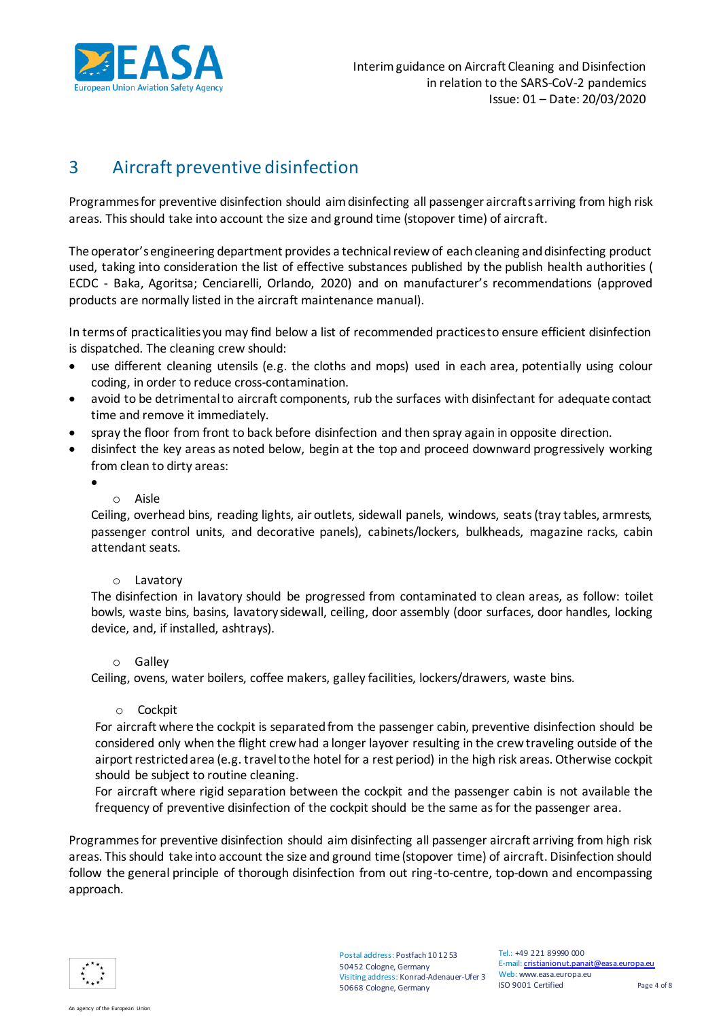

### 3 Aircraft preventive disinfection

Programmes for preventive disinfection should aim disinfecting all passenger aircrafts arriving from high risk areas. This should take into account the size and ground time (stopover time) of aircraft.

The operator's engineering department provides a technical review of each cleaning and disinfecting product used, taking into consideration the list of effective substances published by the publish health authorities ( ECDC - Baka, Agoritsa; Cenciarelli, Orlando, 2020) and on manufacturer's recommendations (approved products are normally listed in the aircraft maintenance manual).

In terms of practicalities you may find below a list of recommended practices to ensure efficient disinfection is dispatched. The cleaning crew should:

- use different cleaning utensils (e.g. the cloths and mops) used in each area, potentially using colour coding, in order to reduce cross-contamination.
- avoid to be detrimental to aircraft components, rub the surfaces with disinfectant for adequate contact time and remove it immediately.
- spray the floor from front to back before disinfection and then spray again in opposite direction.
- disinfect the key areas as noted below, begin at the top and proceed downward progressively working from clean to dirty areas:
	- $\bullet$
- o Aisle

Ceiling, overhead bins, reading lights, air outlets, sidewall panels, windows, seats (tray tables, armrests, passenger control units, and decorative panels), cabinets/lockers, bulkheads, magazine racks, cabin attendant seats.

#### o Lavatory

The disinfection in lavatory should be progressed from contaminated to clean areas, as follow: toilet bowls, waste bins, basins, lavatory sidewall, ceiling, door assembly (door surfaces, door handles, locking device, and, if installed, ashtrays).

#### o Galley

Ceiling, ovens, water boilers, coffee makers, galley facilities, lockers/drawers, waste bins.

#### o Cockpit

For aircraft where the cockpit is separated from the passenger cabin, preventive disinfection should be considered only when the flight crew had a longer layover resulting in the crew traveling outside of the airport restricted area (e.g. travel to the hotel for a rest period) in the high risk areas. Otherwise cockpit should be subject to routine cleaning.

For aircraft where rigid separation between the cockpit and the passenger cabin is not available the frequency of preventive disinfection of the cockpit should be the same as for the passenger area.

Programmes for preventive disinfection should aim disinfecting all passenger aircraft arriving from high risk areas. This should take into account the size and ground time (stopover time) of aircraft. Disinfection should follow the general principle of thorough disinfection from out ring-to-centre, top-down and encompassing approach.



Postal address: Postfach 10 12 53 50452 Cologne, Germany Visiting address: Konrad-Adenauer-Ufer 3 50668 Cologne, Germany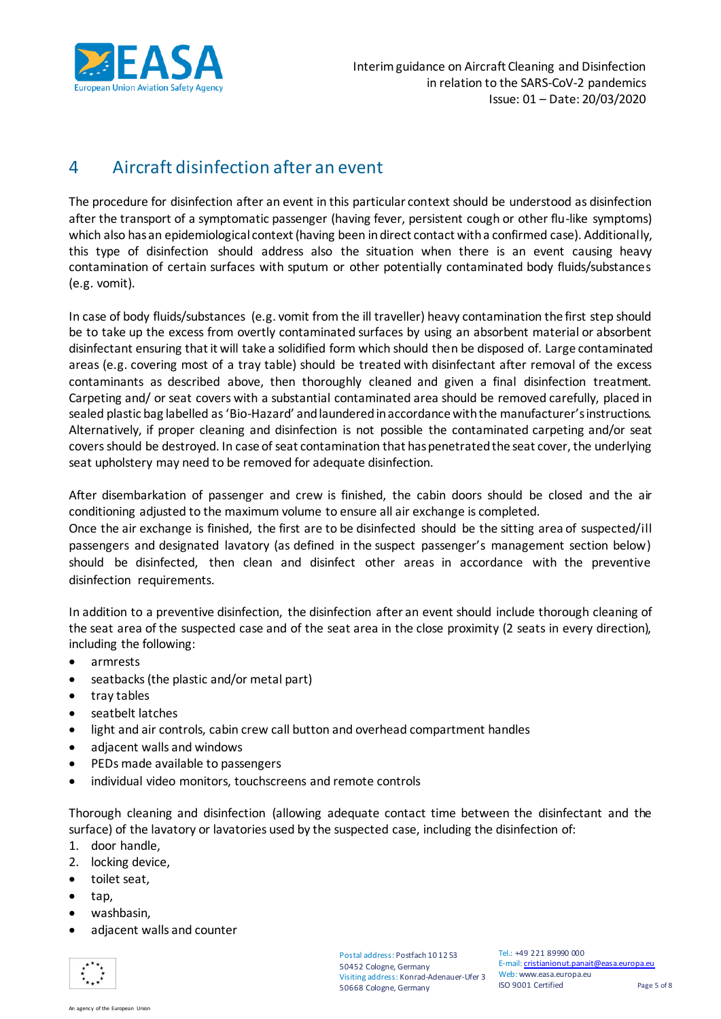

### 4 Aircraft disinfection after an event

The procedure for disinfection after an event in this particular context should be understood as disinfection after the transport of a symptomatic passenger (having fever, persistent cough or other flu-like symptoms) which also has an epidemiological context (having been in direct contact with a confirmed case). Additionally, this type of disinfection should address also the situation when there is an event causing heavy contamination of certain surfaces with sputum or other potentially contaminated body fluids/substances (e.g. vomit).

In case of body fluids/substances (e.g. vomit from the ill traveller) heavy contamination the first step should be to take up the excess from overtly contaminated surfaces by using an absorbent material or absorbent disinfectant ensuring that it will take a solidified form which should then be disposed of. Large contaminated areas (e.g. covering most of a tray table) should be treated with disinfectant after removal of the excess contaminants as described above, then thoroughly cleaned and given a final disinfection treatment. Carpeting and/ or seat covers with a substantial contaminated area should be removed carefully, placed in sealed plastic bag labelled as 'Bio-Hazard' and laundered in accordance with the manufacturer's instructions. Alternatively, if proper cleaning and disinfection is not possible the contaminated carpeting and/or seat covers should be destroyed. In case of seat contamination that has penetrated the seat cover, the underlying seat upholstery may need to be removed for adequate disinfection.

After disembarkation of passenger and crew is finished, the cabin doors should be closed and the air conditioning adjusted to the maximum volume to ensure all air exchange is completed.

Once the air exchange is finished, the first are to be disinfected should be the sitting area of suspected/ill passengers and designated lavatory (as defined in the suspect passenger's management section below) should be disinfected, then clean and disinfect other areas in accordance with the preventive disinfection requirements.

In addition to a preventive disinfection, the disinfection after an event should include thorough cleaning of the seat area of the suspected case and of the seat area in the close proximity (2 seats in every direction), including the following:

- armrests
- seatbacks (the plastic and/or metal part)
- tray tables
- seatbelt latches
- light and air controls, cabin crew call button and overhead compartment handles
- adjacent walls and windows
- PEDs made available to passengers
- individual video monitors, touchscreens and remote controls

Thorough cleaning and disinfection (allowing adequate contact time between the disinfectant and the surface) of the lavatory or lavatories used by the suspected case, including the disinfection of:

- 1. door handle,
- 2. locking device,
- toilet seat,
- tap,
- washbasin,
- adjacent walls and counter

Postal address: Postfach 10 12 53 50452 Cologne, Germany Visiting address: Konrad-Adenauer-Ufer 3 50668 Cologne, Germany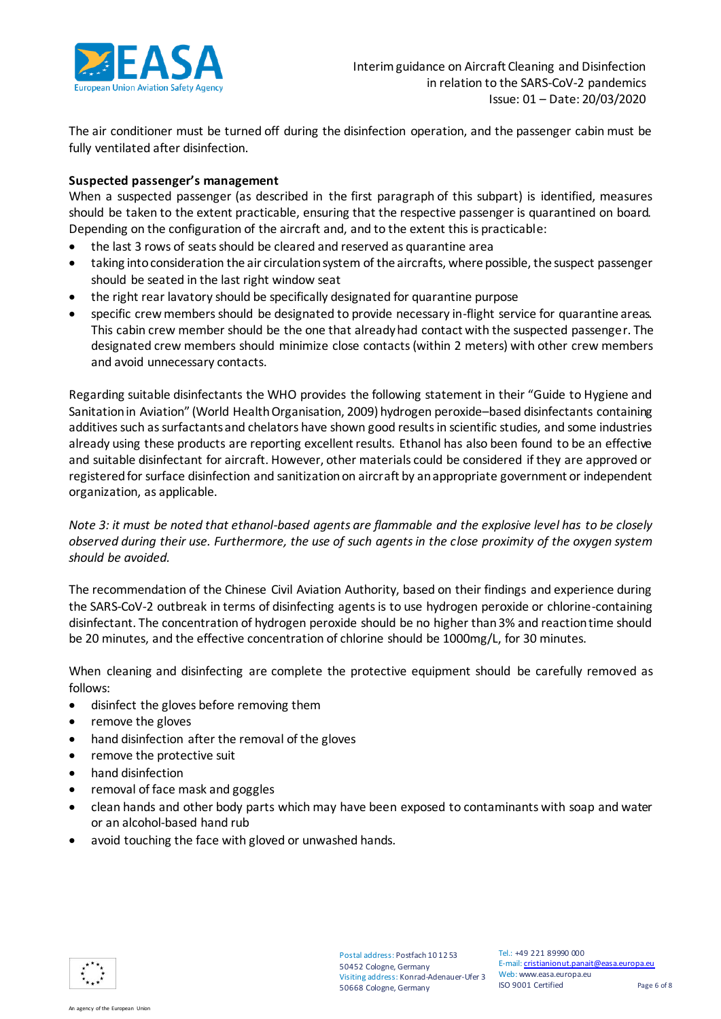

The air conditioner must be turned off during the disinfection operation, and the passenger cabin must be fully ventilated after disinfection.

#### **Suspected passenger's management**

When a suspected passenger (as described in the first paragraph of this subpart) is identified, measures should be taken to the extent practicable, ensuring that the respective passenger is quarantined on board. Depending on the configuration of the aircraft and, and to the extent this is practicable:

- the last 3 rows of seats should be cleared and reserved as quarantine area
- taking into consideration the air circulation system of the aircrafts, where possible, the suspect passenger should be seated in the last right window seat
- the right rear lavatory should be specifically designated for quarantine purpose
- specific crew members should be designated to provide necessary in-flight service for quarantine areas. This cabin crew member should be the one that already had contact with the suspected passenger. The designated crew members should minimize close contacts (within 2 meters) with other crew members and avoid unnecessary contacts.

Regarding suitable disinfectants the WHO provides the following statement in their "Guide to Hygiene and Sanitation in Aviation" (World Health Organisation, 2009) hydrogen peroxide–based disinfectants containing additives such as surfactants and chelators have shown good results in scientific studies, and some industries already using these products are reporting excellent results. Ethanol has also been found to be an effective and suitable disinfectant for aircraft. However, other materials could be considered if they are approved or registered for surface disinfection and sanitization on aircraft by an appropriate government or independent organization, as applicable.

*Note 3: it must be noted that ethanol-based agents are flammable and the explosive level has to be closely observed during their use. Furthermore, the use of such agents in the close proximity of the oxygen system should be avoided.* 

The recommendation of the Chinese Civil Aviation Authority, based on their findings and experience during the SARS-CoV-2 outbreak in terms of disinfecting agents is to use hydrogen peroxide or chlorine-containing disinfectant. The concentration of hydrogen peroxide should be no higher than 3% and reaction time should be 20 minutes, and the effective concentration of chlorine should be 1000mg/L, for 30 minutes.

When cleaning and disinfecting are complete the protective equipment should be carefully removed as follows:

- disinfect the gloves before removing them
- remove the gloves
- hand disinfection after the removal of the gloves
- remove the protective suit
- hand disinfection
- removal of face mask and goggles
- clean hands and other body parts which may have been exposed to contaminants with soap and water or an alcohol-based hand rub
- avoid touching the face with gloved or unwashed hands.

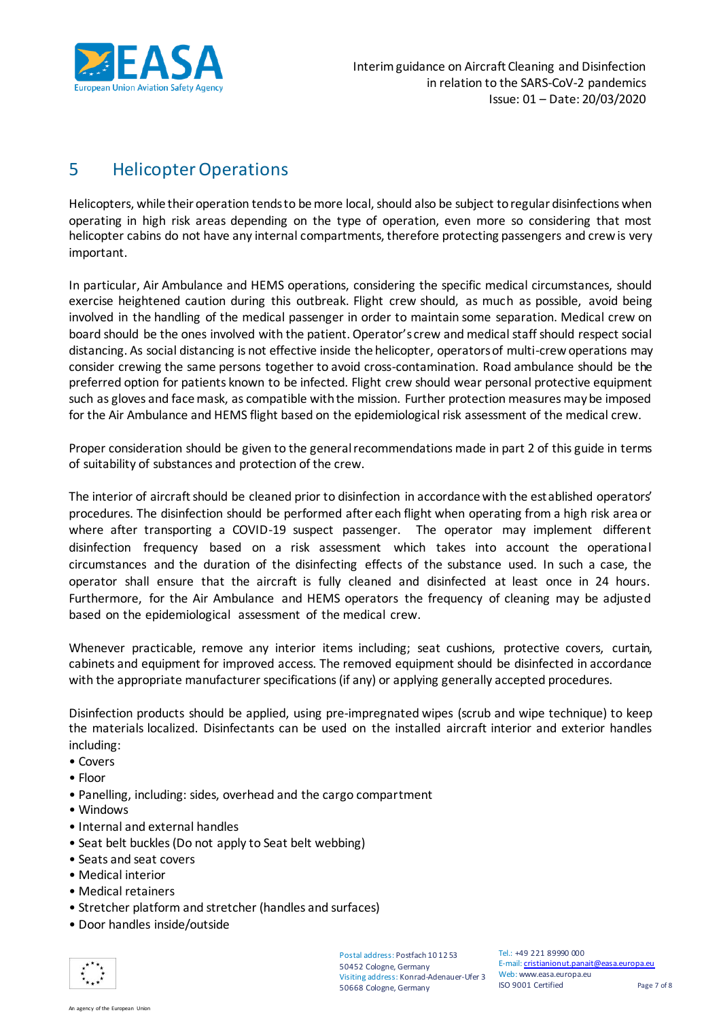

## 5 Helicopter Operations

Helicopters, while their operation tends to be more local, should also be subject to regular disinfections when operating in high risk areas depending on the type of operation, even more so considering that most helicopter cabins do not have any internal compartments, therefore protecting passengers and crew is very important.

In particular, Air Ambulance and HEMS operations, considering the specific medical circumstances, should exercise heightened caution during this outbreak. Flight crew should, as much as possible, avoid being involved in the handling of the medical passenger in order to maintain some separation. Medical crew on board should be the ones involved with the patient. Operator's crew and medical staff should respect social distancing. As social distancing is not effective inside the helicopter, operators of multi-crew operations may consider crewing the same persons together to avoid cross-contamination. Road ambulance should be the preferred option for patients known to be infected. Flight crew should wear personal protective equipment such as gloves and face mask, as compatible with the mission. Further protection measures may be imposed for the Air Ambulance and HEMS flight based on the epidemiological risk assessment of the medical crew.

Proper consideration should be given to the general recommendations made in part 2 of this guide in terms of suitability of substances and protection of the crew.

The interior of aircraft should be cleaned prior to disinfection in accordance with the established operators' procedures. The disinfection should be performed after each flight when operating from a high risk area or where after transporting a COVID-19 suspect passenger. The operator may implement different disinfection frequency based on a risk assessment which takes into account the operational circumstances and the duration of the disinfecting effects of the substance used. In such a case, the operator shall ensure that the aircraft is fully cleaned and disinfected at least once in 24 hours. Furthermore, for the Air Ambulance and HEMS operators the frequency of cleaning may be adjusted based on the epidemiological assessment of the medical crew.

Whenever practicable, remove any interior items including; seat cushions, protective covers, curtain, cabinets and equipment for improved access. The removed equipment should be disinfected in accordance with the appropriate manufacturer specifications (if any) or applying generally accepted procedures.

Disinfection products should be applied, using pre-impregnated wipes (scrub and wipe technique) to keep the materials localized. Disinfectants can be used on the installed aircraft interior and exterior handles including:

- Covers
- Floor
- Panelling, including: sides, overhead and the cargo compartment
- Windows
- Internal and external handles
- Seat belt buckles (Do not apply to Seat belt webbing)
- Seats and seat covers
- Medical interior
- Medical retainers
- Stretcher platform and stretcher (handles and surfaces)
- Door handles inside/outside



Postal address: Postfach 10 12 53 50452 Cologne, Germany Visiting address: Konrad-Adenauer-Ufer 3 50668 Cologne, Germany